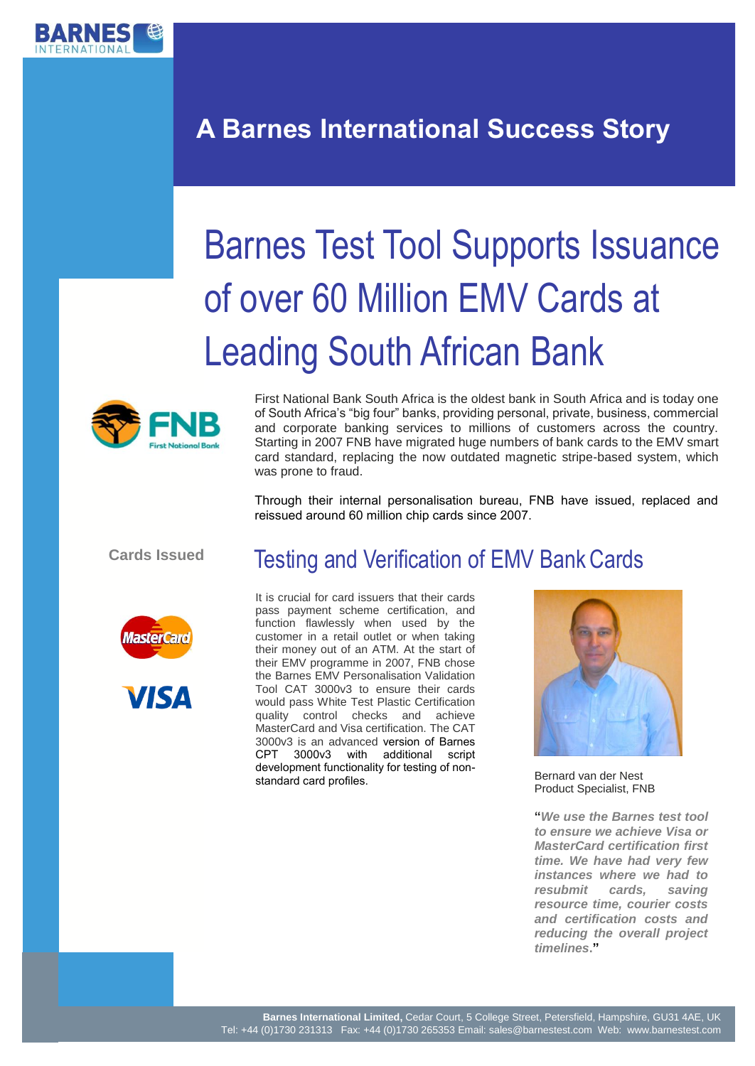

# **A Barnes International Success Story**

# Barnes Test Tool Supports Issuance of over 60 Million EMV Cards at Leading South African Bank



First National Bank South Africa is the oldest bank in South Africa and is today one of South Africa's "big four" banks, providing personal, private, business, commercial and corporate banking services to millions of customers across the country. Starting in 2007 FNB have migrated huge numbers of bank cards to the EMV smart card standard, replacing the now outdated magnetic stripe-based system, which was prone to fraud.

Through their internal personalisation bureau, FNB have issued, replaced and reissued around 60 million chip cards since 2007.

**Cards Issued**





### Testing and Verification of EMV Bank Cards

It is crucial for card issuers that their cards pass payment scheme certification, and function flawlessly when used by the customer in a retail outlet or when taking their money out of an ATM. At the start of their EMV programme in 2007, FNB chose the Barnes EMV Personalisation Validation Tool CAT 3000v3 to ensure their cards would pass White Test Plastic Certification quality control checks and achieve MasterCard and Visa certification. The CAT 3000v3 is an advanced version of Barnes CPT 3000v3 with additional script development functionality for testing of nonstandard card profiles.



Bernard van der Nest Product Specialist, FNB

**"***We use the Barnes test tool to ensure we achieve Visa or MasterCard certification first time. We have had very few instances where we had to resubmit cards, saving resource time, courier costs and certification costs and reducing the overall project timelines***."**